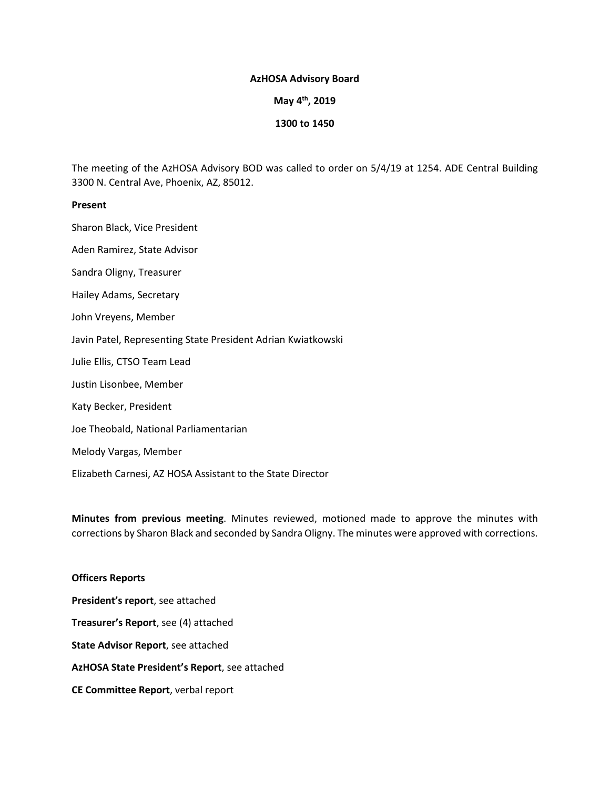### **AzHOSA Advisory Board**

**May 4th, 2019**

### **1300 to 1450**

The meeting of the AzHOSA Advisory BOD was called to order on 5/4/19 at 1254. ADE Central Building 3300 N. Central Ave, Phoenix, AZ, 85012.

#### **Present**

Sharon Black, Vice President

Aden Ramirez, State Advisor

Sandra Oligny, Treasurer

Hailey Adams, Secretary

John Vreyens, Member

Javin Patel, Representing State President Adrian Kwiatkowski

Julie Ellis, CTSO Team Lead

Justin Lisonbee, Member

Katy Becker, President

Joe Theobald, National Parliamentarian

Melody Vargas, Member

Elizabeth Carnesi, AZ HOSA Assistant to the State Director

**Minutes from previous meeting**. Minutes reviewed, motioned made to approve the minutes with corrections by Sharon Black and seconded by Sandra Oligny. The minutes were approved with corrections.

# **Officers Reports President's report**, see attached **Treasurer's Report**, see (4) attached **State Advisor Report**, see attached **AzHOSA State President's Report**, see attached **CE Committee Report**, verbal report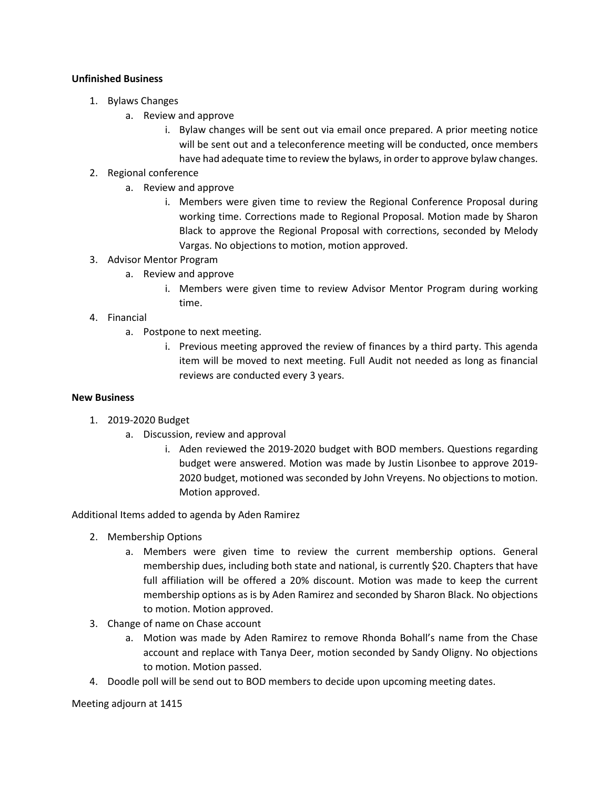## **Unfinished Business**

- 1. Bylaws Changes
	- a. Review and approve
		- i. Bylaw changes will be sent out via email once prepared. A prior meeting notice will be sent out and a teleconference meeting will be conducted, once members have had adequate time to review the bylaws, in order to approve bylaw changes.
- 2. Regional conference
	- a. Review and approve
		- i. Members were given time to review the Regional Conference Proposal during working time. Corrections made to Regional Proposal. Motion made by Sharon Black to approve the Regional Proposal with corrections, seconded by Melody Vargas. No objections to motion, motion approved.

## 3. Advisor Mentor Program

- a. Review and approve
	- i. Members were given time to review Advisor Mentor Program during working time.
- 4. Financial
	- a. Postpone to next meeting.
		- i. Previous meeting approved the review of finances by a third party. This agenda item will be moved to next meeting. Full Audit not needed as long as financial reviews are conducted every 3 years.

## **New Business**

- 1. 2019-2020 Budget
	- a. Discussion, review and approval
		- i. Aden reviewed the 2019-2020 budget with BOD members. Questions regarding budget were answered. Motion was made by Justin Lisonbee to approve 2019- 2020 budget, motioned was seconded by John Vreyens. No objections to motion. Motion approved.

Additional Items added to agenda by Aden Ramirez

- 2. Membership Options
	- a. Members were given time to review the current membership options. General membership dues, including both state and national, is currently \$20. Chapters that have full affiliation will be offered a 20% discount. Motion was made to keep the current membership options as is by Aden Ramirez and seconded by Sharon Black. No objections to motion. Motion approved.
- 3. Change of name on Chase account
	- a. Motion was made by Aden Ramirez to remove Rhonda Bohall's name from the Chase account and replace with Tanya Deer, motion seconded by Sandy Oligny. No objections to motion. Motion passed.
- 4. Doodle poll will be send out to BOD members to decide upon upcoming meeting dates.

Meeting adjourn at 1415